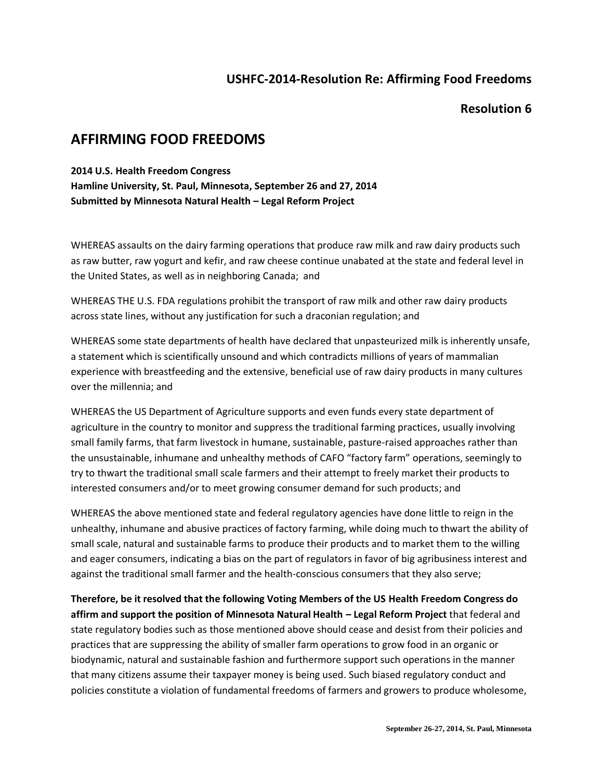## **USHFC-2014-Resolution Re: Affirming Food Freedoms**

### **Resolution 6**

# **AFFIRMING FOOD FREEDOMS**

#### **2014 U.S. Health Freedom Congress**

**Hamline University, St. Paul, Minnesota, September 26 and 27, 2014 Submitted by Minnesota Natural Health – Legal Reform Project**

WHEREAS assaults on the dairy farming operations that produce raw milk and raw dairy products such as raw butter, raw yogurt and kefir, and raw cheese continue unabated at the state and federal level in the United States, as well as in neighboring Canada; and

WHEREAS THE U.S. FDA regulations prohibit the transport of raw milk and other raw dairy products across state lines, without any justification for such a draconian regulation; and

WHEREAS some state departments of health have declared that unpasteurized milk is inherently unsafe, a statement which is scientifically unsound and which contradicts millions of years of mammalian experience with breastfeeding and the extensive, beneficial use of raw dairy products in many cultures over the millennia; and

WHEREAS the US Department of Agriculture supports and even funds every state department of agriculture in the country to monitor and suppress the traditional farming practices, usually involving small family farms, that farm livestock in humane, sustainable, pasture-raised approaches rather than the unsustainable, inhumane and unhealthy methods of CAFO "factory farm" operations, seemingly to try to thwart the traditional small scale farmers and their attempt to freely market their products to interested consumers and/or to meet growing consumer demand for such products; and

WHEREAS the above mentioned state and federal regulatory agencies have done little to reign in the unhealthy, inhumane and abusive practices of factory farming, while doing much to thwart the ability of small scale, natural and sustainable farms to produce their products and to market them to the willing and eager consumers, indicating a bias on the part of regulators in favor of big agribusiness interest and against the traditional small farmer and the health-conscious consumers that they also serve;

**Therefore, be it resolved that the following Voting Members of the US Health Freedom Congress do affirm and support the position of Minnesota Natural Health – Legal Reform Project** that federal and state regulatory bodies such as those mentioned above should cease and desist from their policies and practices that are suppressing the ability of smaller farm operations to grow food in an organic or biodynamic, natural and sustainable fashion and furthermore support such operations in the manner that many citizens assume their taxpayer money is being used. Such biased regulatory conduct and policies constitute a violation of fundamental freedoms of farmers and growers to produce wholesome,